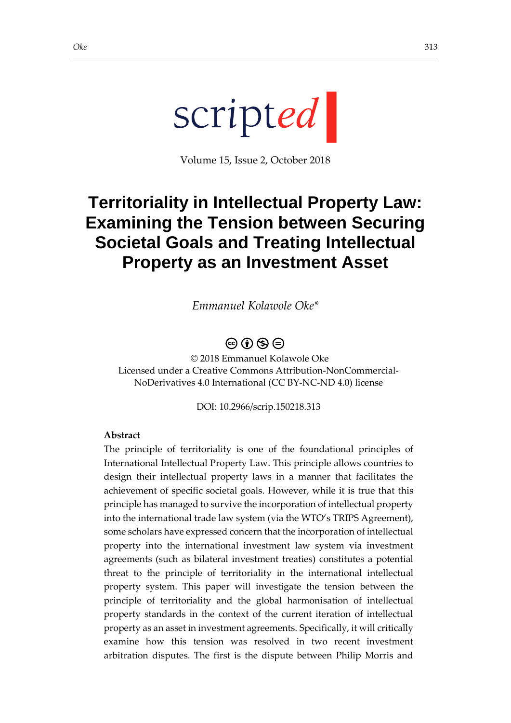Volume 15, Issue 2, October 2018

# **Territoriality in Intellectual Property Law: Examining the Tension between Securing Societal Goals and Treating Intellectual Property as an Investment Asset**

*Emmanuel Kolawole Oke\**

# $\circledcirc$  (i)  $\circledcirc$   $\circledcirc$

© 2018 Emmanuel Kolawole Oke Licensed under a Creative Commons Attribution-NonCommercial-NoDerivatives 4.0 International (CC BY-NC-ND 4.0) license

DOI: 10.2966/scrip.150218.313

### **Abstract**

The principle of territoriality is one of the foundational principles of International Intellectual Property Law. This principle allows countries to design their intellectual property laws in a manner that facilitates the achievement of specific societal goals. However, while it is true that this principle has managed to survive the incorporation of intellectual property into the international trade law system (via the WTO's TRIPS Agreement), some scholars have expressed concern that the incorporation of intellectual property into the international investment law system via investment agreements (such as bilateral investment treaties) constitutes a potential threat to the principle of territoriality in the international intellectual property system. This paper will investigate the tension between the principle of territoriality and the global harmonisation of intellectual property standards in the context of the current iteration of intellectual property as an asset in investment agreements. Specifically, it will critically examine how this tension was resolved in two recent investment arbitration disputes. The first is the dispute between Philip Morris and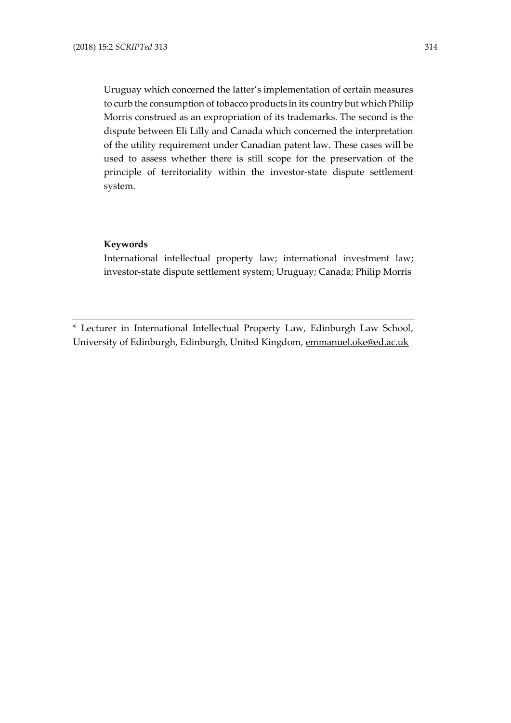Uruguay which concerned the latter's implementation of certain measures to curb the consumption of tobacco products in its country but which Philip Morris construed as an expropriation of its trademarks. The second is the dispute between Eli Lilly and Canada which concerned the interpretation of the utility requirement under Canadian patent law. These cases will be used to assess whether there is still scope for the preservation of the principle of territoriality within the investor-state dispute settlement system.

#### **Keywords**

International intellectual property law; international investment law; investor-state dispute settlement system; Uruguay; Canada; Philip Morris

\* Lecturer in International Intellectual Property Law, Edinburgh Law School, University of Edinburgh, Edinburgh, United Kingdom, [emmanuel.oke@ed.ac.uk](mailto:emmanuel.oke@ed.ac.uk)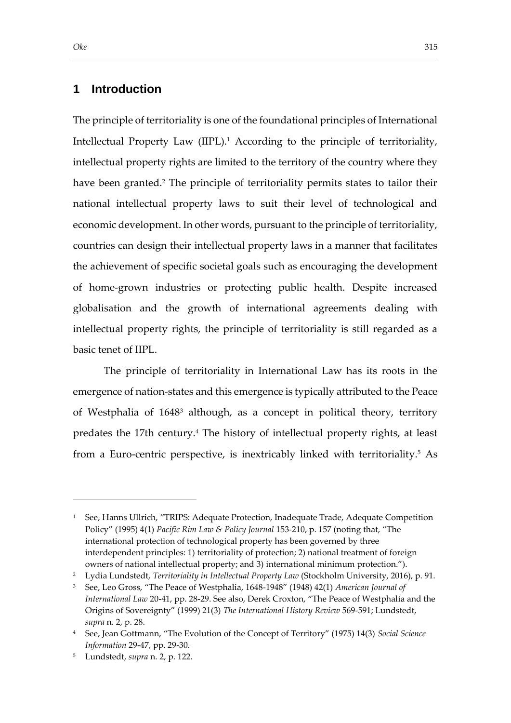### **1 Introduction**

The principle of territoriality is one of the foundational principles of International Intellectual Property Law (IIPL).<sup>1</sup> According to the principle of territoriality, intellectual property rights are limited to the territory of the country where they have been granted.<sup>2</sup> The principle of territoriality permits states to tailor their national intellectual property laws to suit their level of technological and economic development. In other words, pursuant to the principle of territoriality, countries can design their intellectual property laws in a manner that facilitates the achievement of specific societal goals such as encouraging the development of home-grown industries or protecting public health. Despite increased globalisation and the growth of international agreements dealing with intellectual property rights, the principle of territoriality is still regarded as a basic tenet of IIPL.

The principle of territoriality in International Law has its roots in the emergence of nation-states and this emergence is typically attributed to the Peace of Westphalia of 1648<sup>3</sup> although, as a concept in political theory, territory predates the 17th century.<sup>4</sup> The history of intellectual property rights, at least from a Euro-centric perspective, is inextricably linked with territoriality.<sup>5</sup> As

<sup>1</sup> See, Hanns Ullrich, "TRIPS: Adequate Protection, Inadequate Trade, Adequate Competition Policy" (1995) 4(1) *Pacific Rim Law & Policy Journal* 153-210, p. 157 (noting that, "The international protection of technological property has been governed by three interdependent principles: 1) territoriality of protection; 2) national treatment of foreign owners of national intellectual property; and 3) international minimum protection.").

<sup>2</sup> Lydia Lundstedt, *Territoriality in Intellectual Property Law* (Stockholm University, 2016), p. 91.

<sup>3</sup> See, Leo Gross, "The Peace of Westphalia, 1648-1948" (1948) 42(1) *American Journal of International Law* 20-41, pp. 28-29. See also, Derek Croxton, "The Peace of Westphalia and the Origins of Sovereignty" (1999) 21(3) *The International History Review* 569-591; Lundstedt, *supra* n. 2, p. 28.

<sup>4</sup> See, Jean Gottmann, "The Evolution of the Concept of Territory" (1975) 14(3) *Social Science Information* 29-47, pp. 29-30.

<sup>5</sup> Lundstedt, *supra* n. 2, p. 122.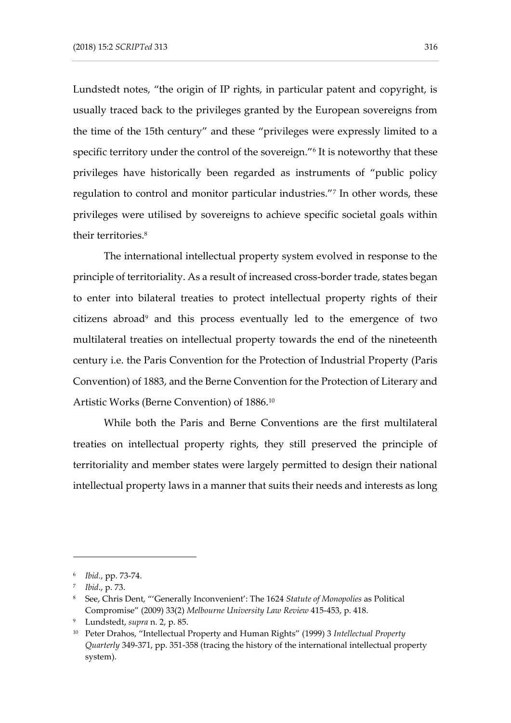Lundstedt notes, "the origin of IP rights, in particular patent and copyright, is usually traced back to the privileges granted by the European sovereigns from the time of the 15th century" and these "privileges were expressly limited to a specific territory under the control of the sovereign."<sup>6</sup> It is noteworthy that these privileges have historically been regarded as instruments of "public policy regulation to control and monitor particular industries."<sup>7</sup> In other words, these privileges were utilised by sovereigns to achieve specific societal goals within their territories.<sup>8</sup>

The international intellectual property system evolved in response to the principle of territoriality. As a result of increased cross-border trade, states began to enter into bilateral treaties to protect intellectual property rights of their citizens abroad<sup>9</sup> and this process eventually led to the emergence of two multilateral treaties on intellectual property towards the end of the nineteenth century i.e. the Paris Convention for the Protection of Industrial Property (Paris Convention) of 1883, and the Berne Convention for the Protection of Literary and Artistic Works (Berne Convention) of 1886.<sup>10</sup>

While both the Paris and Berne Conventions are the first multilateral treaties on intellectual property rights, they still preserved the principle of territoriality and member states were largely permitted to design their national intellectual property laws in a manner that suits their needs and interests as long

<sup>6</sup> *Ibid.*, pp. 73-74.

<sup>7</sup> *Ibid*., p. 73.

<sup>8</sup> See, Chris Dent, "'Generally Inconvenient': The 1624 *Statute of Monopolies* as Political Compromise" (2009) 33(2) *Melbourne University Law Review* 415-453, p. 418.

<sup>9</sup> Lundstedt, *supra* n. 2, p. 85.

<sup>10</sup> Peter Drahos, "Intellectual Property and Human Rights" (1999) 3 *Intellectual Property Quarterly* 349-371, pp. 351-358 (tracing the history of the international intellectual property system).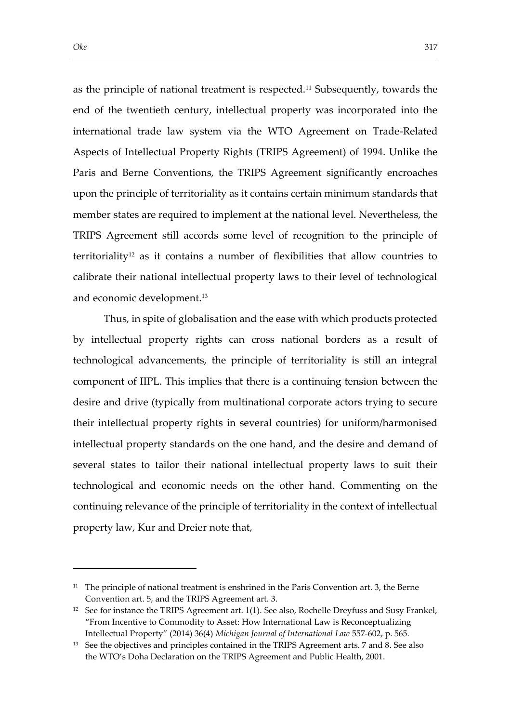as the principle of national treatment is respected.<sup>11</sup> Subsequently, towards the end of the twentieth century, intellectual property was incorporated into the international trade law system via the WTO Agreement on Trade-Related Aspects of Intellectual Property Rights (TRIPS Agreement) of 1994. Unlike the Paris and Berne Conventions, the TRIPS Agreement significantly encroaches upon the principle of territoriality as it contains certain minimum standards that member states are required to implement at the national level. Nevertheless, the TRIPS Agreement still accords some level of recognition to the principle of territoriality<sup>12</sup> as it contains a number of flexibilities that allow countries to calibrate their national intellectual property laws to their level of technological and economic development.<sup>13</sup>

Thus, in spite of globalisation and the ease with which products protected by intellectual property rights can cross national borders as a result of technological advancements, the principle of territoriality is still an integral component of IIPL. This implies that there is a continuing tension between the desire and drive (typically from multinational corporate actors trying to secure their intellectual property rights in several countries) for uniform/harmonised intellectual property standards on the one hand, and the desire and demand of several states to tailor their national intellectual property laws to suit their technological and economic needs on the other hand. Commenting on the continuing relevance of the principle of territoriality in the context of intellectual property law, Kur and Dreier note that,

 $11$  The principle of national treatment is enshrined in the Paris Convention art. 3, the Berne Convention art. 5, and the TRIPS Agreement art. 3.

<sup>&</sup>lt;sup>12</sup> See for instance the TRIPS Agreement art. 1(1). See also, Rochelle Dreyfuss and Susy Frankel, "From Incentive to Commodity to Asset: How International Law is Reconceptualizing Intellectual Property" (2014) 36(4) *Michigan Journal of International Law* 557-602, p. 565.

<sup>&</sup>lt;sup>13</sup> See the objectives and principles contained in the TRIPS Agreement arts. 7 and 8. See also the WTO's Doha Declaration on the TRIPS Agreement and Public Health, 2001.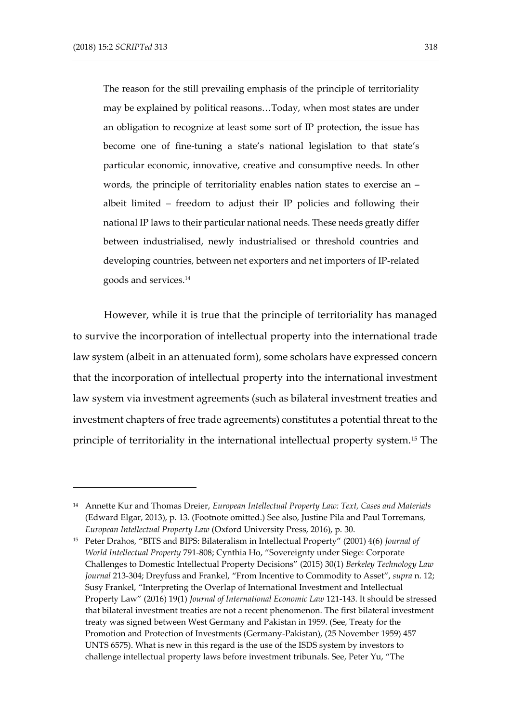The reason for the still prevailing emphasis of the principle of territoriality may be explained by political reasons…Today, when most states are under an obligation to recognize at least some sort of IP protection, the issue has become one of fine-tuning a state's national legislation to that state's particular economic, innovative, creative and consumptive needs. In other words, the principle of territoriality enables nation states to exercise an – albeit limited – freedom to adjust their IP policies and following their national IP laws to their particular national needs. These needs greatly differ between industrialised, newly industrialised or threshold countries and developing countries, between net exporters and net importers of IP-related goods and services.<sup>14</sup>

However, while it is true that the principle of territoriality has managed to survive the incorporation of intellectual property into the international trade law system (albeit in an attenuated form), some scholars have expressed concern that the incorporation of intellectual property into the international investment law system via investment agreements (such as bilateral investment treaties and investment chapters of free trade agreements) constitutes a potential threat to the principle of territoriality in the international intellectual property system.<sup>15</sup> The

<sup>14</sup> Annette Kur and Thomas Dreier, *European Intellectual Property Law: Text, Cases and Materials* (Edward Elgar, 2013), p. 13. (Footnote omitted.) See also, Justine Pila and Paul Torremans*, European Intellectual Property Law* (Oxford University Press, 2016), p. 30.

<sup>15</sup> Peter Drahos, "BITS and BIPS: Bilateralism in Intellectual Property" (2001) 4(6) *Journal of World Intellectual Property* 791-808; Cynthia Ho, "Sovereignty under Siege: Corporate Challenges to Domestic Intellectual Property Decisions" (2015) 30(1) *Berkeley Technology Law Journal* 213-304; Dreyfuss and Frankel, "From Incentive to Commodity to Asset", *supra* n. 12; Susy Frankel, "Interpreting the Overlap of International Investment and Intellectual Property Law" (2016) 19(1) *Journal of International Economic Law* 121-143. It should be stressed that bilateral investment treaties are not a recent phenomenon. The first bilateral investment treaty was signed between West Germany and Pakistan in 1959. (See, Treaty for the Promotion and Protection of Investments (Germany-Pakistan), (25 November 1959) 457 UNTS 6575). What is new in this regard is the use of the ISDS system by investors to challenge intellectual property laws before investment tribunals. See, Peter Yu, "The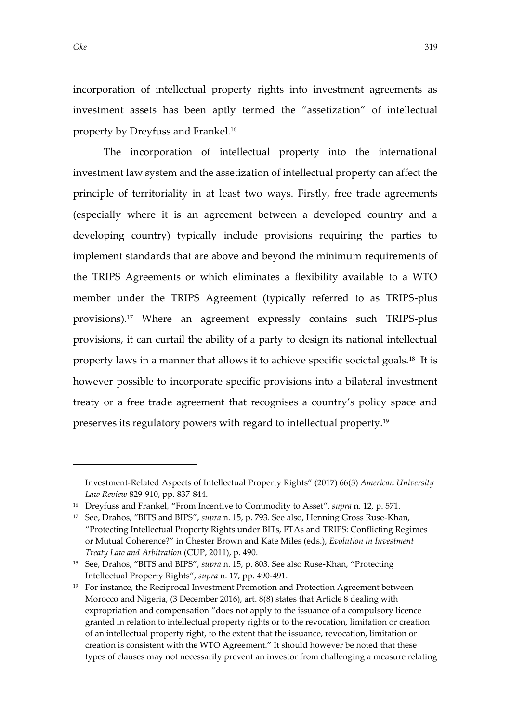incorporation of intellectual property rights into investment agreements as investment assets has been aptly termed the "assetization" of intellectual property by Dreyfuss and Frankel.<sup>16</sup>

The incorporation of intellectual property into the international investment law system and the assetization of intellectual property can affect the principle of territoriality in at least two ways. Firstly, free trade agreements (especially where it is an agreement between a developed country and a developing country) typically include provisions requiring the parties to implement standards that are above and beyond the minimum requirements of the TRIPS Agreements or which eliminates a flexibility available to a WTO member under the TRIPS Agreement (typically referred to as TRIPS-plus provisions).<sup>17</sup> Where an agreement expressly contains such TRIPS-plus provisions, it can curtail the ability of a party to design its national intellectual property laws in a manner that allows it to achieve specific societal goals.<sup>18</sup> It is however possible to incorporate specific provisions into a bilateral investment treaty or a free trade agreement that recognises a country's policy space and preserves its regulatory powers with regard to intellectual property.<sup>19</sup>

Investment-Related Aspects of Intellectual Property Rights" (2017) 66(3) *American University Law Review* 829-910, pp. 837-844.

<sup>16</sup> Dreyfuss and Frankel, "From Incentive to Commodity to Asset", *supra* n. 12, p. 571.

<sup>17</sup> See, Drahos, "BITS and BIPS", *supra* n. 15, p. 793. See also, Henning Gross Ruse-Khan, "Protecting Intellectual Property Rights under BITs, FTAs and TRIPS: Conflicting Regimes or Mutual Coherence?" in Chester Brown and Kate Miles (eds.), *Evolution in Investment Treaty Law and Arbitration* (CUP, 2011), p. 490.

<sup>18</sup> See, Drahos, "BITS and BIPS", *supra* n. 15, p. 803. See also Ruse-Khan, "Protecting Intellectual Property Rights", *supra* n. 17, pp. 490-491.

<sup>&</sup>lt;sup>19</sup> For instance, the Reciprocal Investment Promotion and Protection Agreement between Morocco and Nigeria, (3 December 2016), art. 8(8) states that Article 8 dealing with expropriation and compensation "does not apply to the issuance of a compulsory licence granted in relation to intellectual property rights or to the revocation, limitation or creation of an intellectual property right, to the extent that the issuance, revocation, limitation or creation is consistent with the WTO Agreement." It should however be noted that these types of clauses may not necessarily prevent an investor from challenging a measure relating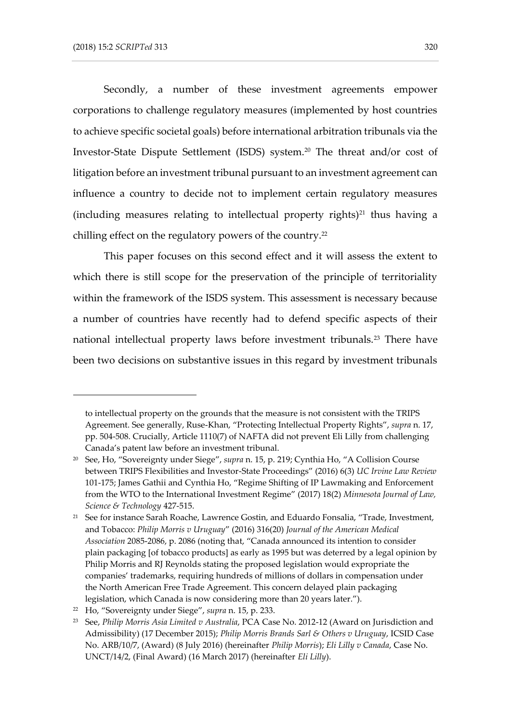Secondly, a number of these investment agreements empower corporations to challenge regulatory measures (implemented by host countries to achieve specific societal goals) before international arbitration tribunals via the Investor-State Dispute Settlement (ISDS) system.<sup>20</sup> The threat and/or cost of litigation before an investment tribunal pursuant to an investment agreement can influence a country to decide not to implement certain regulatory measures (including measures relating to intellectual property rights) $21$  thus having a chilling effect on the regulatory powers of the country.<sup>22</sup>

This paper focuses on this second effect and it will assess the extent to which there is still scope for the preservation of the principle of territoriality within the framework of the ISDS system. This assessment is necessary because a number of countries have recently had to defend specific aspects of their national intellectual property laws before investment tribunals.<sup>23</sup> There have been two decisions on substantive issues in this regard by investment tribunals

to intellectual property on the grounds that the measure is not consistent with the TRIPS Agreement. See generally, Ruse-Khan, "Protecting Intellectual Property Rights", *supra* n. 17, pp. 504-508. Crucially, Article 1110(7) of NAFTA did not prevent Eli Lilly from challenging Canada's patent law before an investment tribunal.

<sup>20</sup> See, Ho, "Sovereignty under Siege", *supra* n. 15, p. 219; Cynthia Ho, "A Collision Course between TRIPS Flexibilities and Investor-State Proceedings" (2016) 6(3) *UC Irvine Law Review*  101-175; James Gathii and Cynthia Ho, "Regime Shifting of IP Lawmaking and Enforcement from the WTO to the International Investment Regime" (2017) 18(2) *Minnesota Journal of Law, Science & Technology* 427-515.

<sup>&</sup>lt;sup>21</sup> See for instance Sarah Roache, Lawrence Gostin, and Eduardo Fonsalia, "Trade, Investment, and Tobacco: *Philip Morris v Uruguay*" (2016) 316(20) *Journal of the American Medical Association* 2085-2086, p. 2086 (noting that, "Canada announced its intention to consider plain packaging [of tobacco products] as early as 1995 but was deterred by a legal opinion by Philip Morris and RJ Reynolds stating the proposed legislation would expropriate the companies' trademarks, requiring hundreds of millions of dollars in compensation under the North American Free Trade Agreement. This concern delayed plain packaging legislation, which Canada is now considering more than 20 years later.").

<sup>22</sup> Ho, "Sovereignty under Siege", *supra* n. 15, p. 233.

<sup>23</sup> See, *Philip Morris Asia Limited v Australia*, PCA Case No. 2012-12 (Award on Jurisdiction and Admissibility) (17 December 2015); *Philip Morris Brands Sarl & Others v Uruguay*, ICSID Case No. ARB/10/7, (Award) (8 July 2016) (hereinafter *Philip Morris*); *Eli Lilly v Canada*, Case No. UNCT/14/2, (Final Award) (16 March 2017) (hereinafter *Eli Lilly*).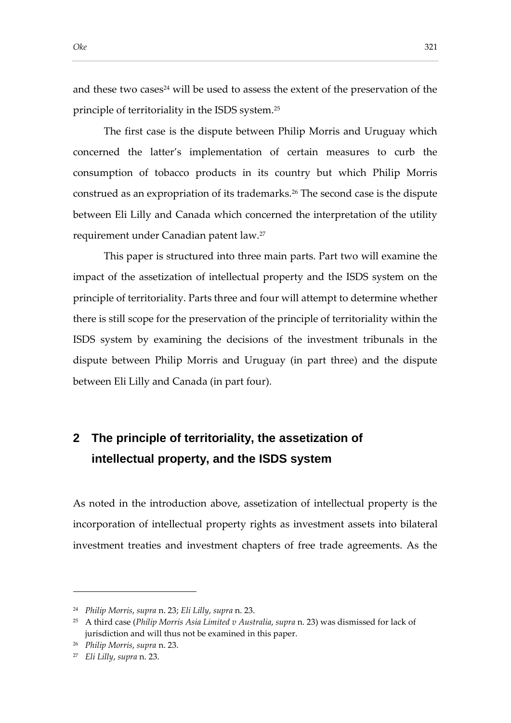and these two cases<sup>24</sup> will be used to assess the extent of the preservation of the principle of territoriality in the ISDS system.<sup>25</sup>

The first case is the dispute between Philip Morris and Uruguay which concerned the latter's implementation of certain measures to curb the consumption of tobacco products in its country but which Philip Morris construed as an expropriation of its trademarks.<sup>26</sup> The second case is the dispute between Eli Lilly and Canada which concerned the interpretation of the utility requirement under Canadian patent law.<sup>27</sup>

This paper is structured into three main parts. Part two will examine the impact of the assetization of intellectual property and the ISDS system on the principle of territoriality. Parts three and four will attempt to determine whether there is still scope for the preservation of the principle of territoriality within the ISDS system by examining the decisions of the investment tribunals in the dispute between Philip Morris and Uruguay (in part three) and the dispute between Eli Lilly and Canada (in part four).

# **2 The principle of territoriality, the assetization of intellectual property, and the ISDS system**

As noted in the introduction above, assetization of intellectual property is the incorporation of intellectual property rights as investment assets into bilateral investment treaties and investment chapters of free trade agreements. As the

<sup>24</sup> *Philip Morris*, *supra* n. 23; *Eli Lilly*, *supra* n. 23.

<sup>25</sup> A third case (*Philip Morris Asia Limited v Australia*, *supra* n. 23) was dismissed for lack of jurisdiction and will thus not be examined in this paper.

<sup>26</sup> *Philip Morris*, *supra* n. 23.

<sup>27</sup> *Eli Lilly*, *supra* n. 23.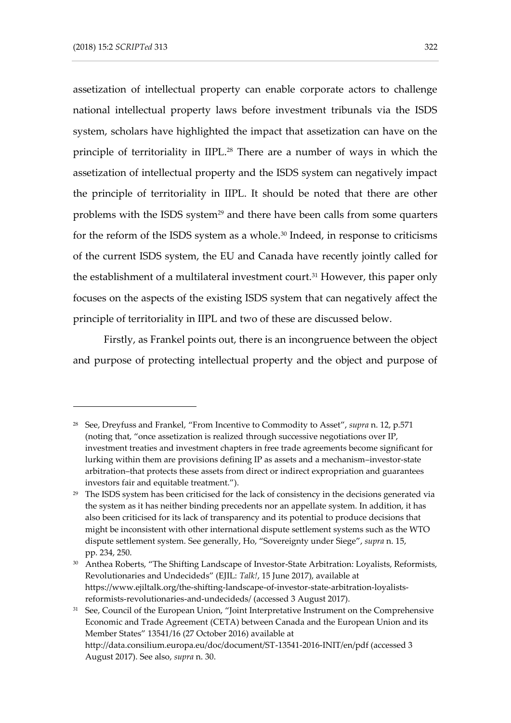assetization of intellectual property can enable corporate actors to challenge national intellectual property laws before investment tribunals via the ISDS system, scholars have highlighted the impact that assetization can have on the principle of territoriality in IIPL.<sup>28</sup> There are a number of ways in which the assetization of intellectual property and the ISDS system can negatively impact the principle of territoriality in IIPL. It should be noted that there are other problems with the ISDS system<sup>29</sup> and there have been calls from some quarters for the reform of the ISDS system as a whole.<sup>30</sup> Indeed, in response to criticisms of the current ISDS system, the EU and Canada have recently jointly called for the establishment of a multilateral investment court.<sup>31</sup> However, this paper only focuses on the aspects of the existing ISDS system that can negatively affect the principle of territoriality in IIPL and two of these are discussed below.

Firstly, as Frankel points out, there is an incongruence between the object and purpose of protecting intellectual property and the object and purpose of

<sup>28</sup> See, Dreyfuss and Frankel, "From Incentive to Commodity to Asset", *supra* n. 12, p.571 (noting that, "once assetization is realized through successive negotiations over IP, investment treaties and investment chapters in free trade agreements become significant for lurking within them are provisions defining IP as assets and a mechanism–investor-state arbitration–that protects these assets from direct or indirect expropriation and guarantees investors fair and equitable treatment.").

<sup>&</sup>lt;sup>29</sup> The ISDS system has been criticised for the lack of consistency in the decisions generated via the system as it has neither binding precedents nor an appellate system. In addition, it has also been criticised for its lack of transparency and its potential to produce decisions that might be inconsistent with other international dispute settlement systems such as the WTO dispute settlement system. See generally, Ho, "Sovereignty under Siege", *supra* n. 15, pp. 234, 250.

<sup>30</sup> Anthea Roberts, "The Shifting Landscape of Investor-State Arbitration: Loyalists, Reformists, Revolutionaries and Undecideds" (EJIL: *Talk!*, 15 June 2017), available at https://www.ejiltalk.org/the-shifting-landscape-of-investor-state-arbitration-loyalistsreformists-revolutionaries-and-undecideds/ (accessed 3 August 2017).

<sup>&</sup>lt;sup>31</sup> See, Council of the European Union, "Joint Interpretative Instrument on the Comprehensive Economic and Trade Agreement (CETA) between Canada and the European Union and its Member States" 13541/16 (27 October 2016) available at http://data.consilium.europa.eu/doc/document/ST-13541-2016-INIT/en/pdf (accessed 3 August 2017). See also, *supra* n. 30.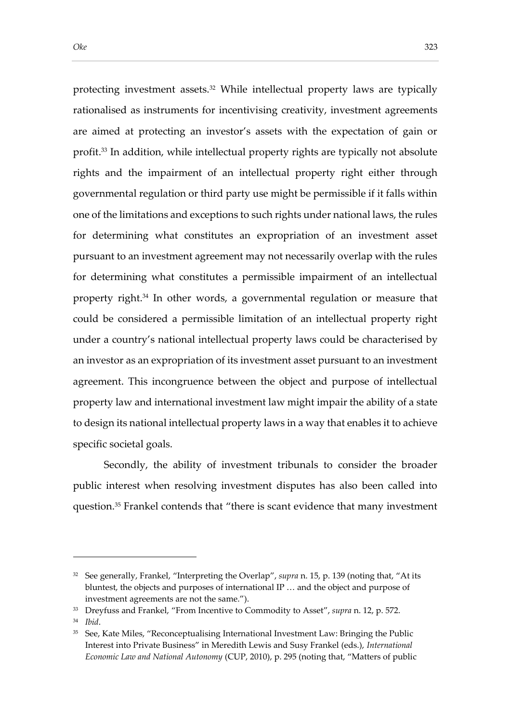protecting investment assets.<sup>32</sup> While intellectual property laws are typically rationalised as instruments for incentivising creativity, investment agreements are aimed at protecting an investor's assets with the expectation of gain or profit.<sup>33</sup> In addition, while intellectual property rights are typically not absolute rights and the impairment of an intellectual property right either through governmental regulation or third party use might be permissible if it falls within one of the limitations and exceptions to such rights under national laws, the rules for determining what constitutes an expropriation of an investment asset pursuant to an investment agreement may not necessarily overlap with the rules for determining what constitutes a permissible impairment of an intellectual property right.<sup>34</sup> In other words, a governmental regulation or measure that could be considered a permissible limitation of an intellectual property right under a country's national intellectual property laws could be characterised by an investor as an expropriation of its investment asset pursuant to an investment agreement. This incongruence between the object and purpose of intellectual property law and international investment law might impair the ability of a state to design its national intellectual property laws in a way that enables it to achieve specific societal goals.

Secondly, the ability of investment tribunals to consider the broader public interest when resolving investment disputes has also been called into question.<sup>35</sup> Frankel contends that "there is scant evidence that many investment

<sup>&</sup>lt;sup>32</sup> See generally, Frankel, "Interpreting the Overlap", *supra* n. 15, p. 139 (noting that, "At its bluntest, the objects and purposes of international IP … and the object and purpose of investment agreements are not the same.").

<sup>33</sup> Dreyfuss and Frankel, "From Incentive to Commodity to Asset", *supra* n. 12, p. 572.

<sup>34</sup> *Ibid*.

<sup>&</sup>lt;sup>35</sup> See, Kate Miles, "Reconceptualising International Investment Law: Bringing the Public Interest into Private Business" in Meredith Lewis and Susy Frankel (eds.), *International Economic Law and National Autonomy* (CUP, 2010), p. 295 (noting that, "Matters of public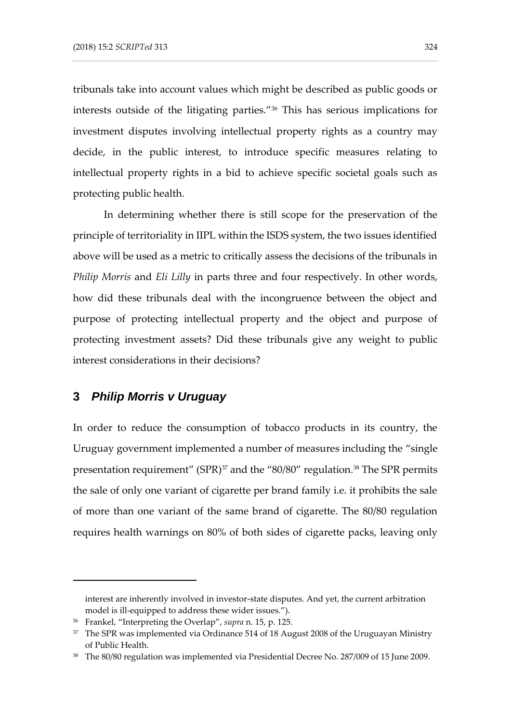tribunals take into account values which might be described as public goods or interests outside of the litigating parties."<sup>36</sup> This has serious implications for investment disputes involving intellectual property rights as a country may decide, in the public interest, to introduce specific measures relating to intellectual property rights in a bid to achieve specific societal goals such as protecting public health.

In determining whether there is still scope for the preservation of the principle of territoriality in IIPL within the ISDS system, the two issues identified above will be used as a metric to critically assess the decisions of the tribunals in *Philip Morris* and *Eli Lilly* in parts three and four respectively. In other words, how did these tribunals deal with the incongruence between the object and purpose of protecting intellectual property and the object and purpose of protecting investment assets? Did these tribunals give any weight to public interest considerations in their decisions?

## **3** *Philip Morris v Uruguay*

-

In order to reduce the consumption of tobacco products in its country, the Uruguay government implemented a number of measures including the "single presentation requirement" (SPR)<sup>37</sup> and the "80/80" regulation.<sup>38</sup> The SPR permits the sale of only one variant of cigarette per brand family i.e. it prohibits the sale of more than one variant of the same brand of cigarette. The 80/80 regulation requires health warnings on 80% of both sides of cigarette packs, leaving only

interest are inherently involved in investor-state disputes. And yet, the current arbitration model is ill-equipped to address these wider issues.").

<sup>36</sup> Frankel, "Interpreting the Overlap", *supra* n. 15, p. 125.

 $37$  The SPR was implemented via Ordinance 514 of 18 August 2008 of the Uruguayan Ministry of Public Health.

<sup>38</sup> The 80/80 regulation was implemented via Presidential Decree No. 287/009 of 15 June 2009.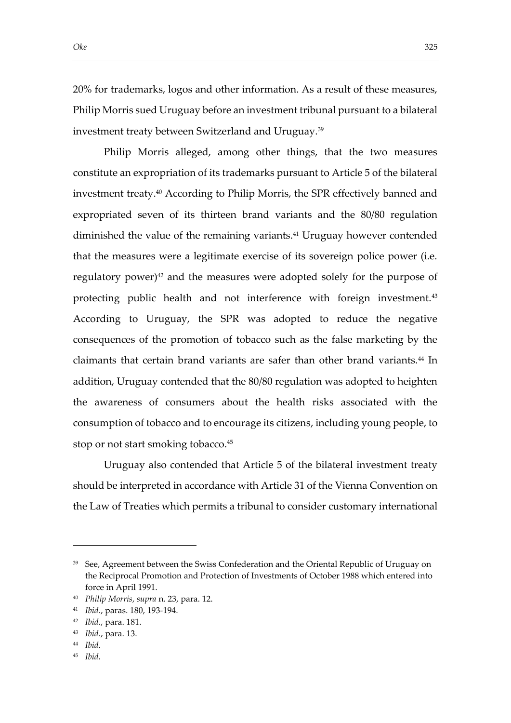20% for trademarks, logos and other information. As a result of these measures, Philip Morris sued Uruguay before an investment tribunal pursuant to a bilateral investment treaty between Switzerland and Uruguay.<sup>39</sup>

Philip Morris alleged, among other things, that the two measures constitute an expropriation of its trademarks pursuant to Article 5 of the bilateral investment treaty.<sup>40</sup> According to Philip Morris, the SPR effectively banned and expropriated seven of its thirteen brand variants and the 80/80 regulation diminished the value of the remaining variants.<sup>41</sup> Uruguay however contended that the measures were a legitimate exercise of its sovereign police power (i.e. regulatory power)<sup>42</sup> and the measures were adopted solely for the purpose of protecting public health and not interference with foreign investment.<sup>43</sup> According to Uruguay, the SPR was adopted to reduce the negative consequences of the promotion of tobacco such as the false marketing by the claimants that certain brand variants are safer than other brand variants.<sup>44</sup> In addition, Uruguay contended that the 80/80 regulation was adopted to heighten the awareness of consumers about the health risks associated with the consumption of tobacco and to encourage its citizens, including young people, to stop or not start smoking tobacco.<sup>45</sup>

Uruguay also contended that Article 5 of the bilateral investment treaty should be interpreted in accordance with Article 31 of the Vienna Convention on the Law of Treaties which permits a tribunal to consider customary international

<sup>44</sup> *Ibid.*

-

<sup>45</sup> *Ibid.*

<sup>&</sup>lt;sup>39</sup> See, Agreement between the Swiss Confederation and the Oriental Republic of Uruguay on the Reciprocal Promotion and Protection of Investments of October 1988 which entered into force in April 1991.

<sup>40</sup> *Philip Morris*, *supra* n. 23, para. 12.

<sup>41</sup> *Ibid*., paras. 180, 193-194.

<sup>42</sup> *Ibid*., para. 181.

<sup>43</sup> *Ibid*., para. 13.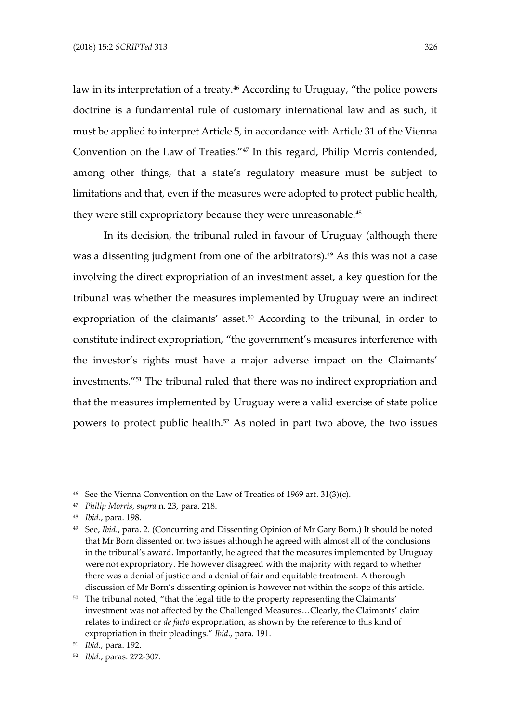law in its interpretation of a treaty.<sup>46</sup> According to Uruguay, "the police powers doctrine is a fundamental rule of customary international law and as such, it must be applied to interpret Article 5, in accordance with Article 31 of the Vienna Convention on the Law of Treaties."<sup>47</sup> In this regard, Philip Morris contended, among other things, that a state's regulatory measure must be subject to limitations and that, even if the measures were adopted to protect public health, they were still expropriatory because they were unreasonable.<sup>48</sup>

In its decision, the tribunal ruled in favour of Uruguay (although there was a dissenting judgment from one of the arbitrators).<sup>49</sup> As this was not a case involving the direct expropriation of an investment asset, a key question for the tribunal was whether the measures implemented by Uruguay were an indirect expropriation of the claimants' asset.<sup>50</sup> According to the tribunal, in order to constitute indirect expropriation, "the government's measures interference with the investor's rights must have a major adverse impact on the Claimants' investments."<sup>51</sup> The tribunal ruled that there was no indirect expropriation and that the measures implemented by Uruguay were a valid exercise of state police powers to protect public health.<sup>52</sup> As noted in part two above, the two issues

<sup>46</sup> See the Vienna Convention on the Law of Treaties of 1969 art. 31(3)(c).

<sup>47</sup> *Philip Morris*, *supra* n. 23, para. 218.

<sup>48</sup> *Ibid*., para. 198.

<sup>49</sup> See, *Ibid.*, para. 2. (Concurring and Dissenting Opinion of Mr Gary Born.) It should be noted that Mr Born dissented on two issues although he agreed with almost all of the conclusions in the tribunal's award. Importantly, he agreed that the measures implemented by Uruguay were not expropriatory. He however disagreed with the majority with regard to whether there was a denial of justice and a denial of fair and equitable treatment. A thorough discussion of Mr Born's dissenting opinion is however not within the scope of this article.

<sup>50</sup> The tribunal noted, "that the legal title to the property representing the Claimants' investment was not affected by the Challenged Measures…Clearly, the Claimants' claim relates to indirect or *de facto* expropriation, as shown by the reference to this kind of expropriation in their pleadings." *Ibid*., para. 191.

<sup>51</sup> *Ibid.*, para. 192.

<sup>52</sup> *Ibid*., paras. 272-307.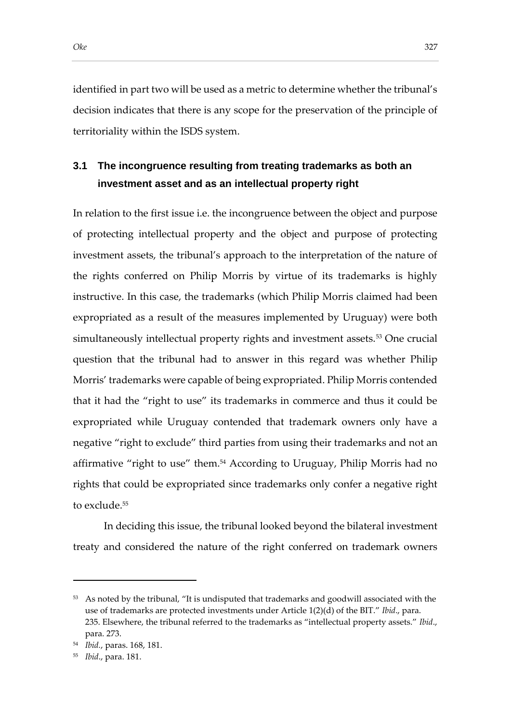# **3.1 The incongruence resulting from treating trademarks as both an investment asset and as an intellectual property right**

In relation to the first issue i.e. the incongruence between the object and purpose of protecting intellectual property and the object and purpose of protecting investment assets, the tribunal's approach to the interpretation of the nature of the rights conferred on Philip Morris by virtue of its trademarks is highly instructive. In this case, the trademarks (which Philip Morris claimed had been expropriated as a result of the measures implemented by Uruguay) were both simultaneously intellectual property rights and investment assets.<sup>53</sup> One crucial question that the tribunal had to answer in this regard was whether Philip Morris' trademarks were capable of being expropriated. Philip Morris contended that it had the "right to use" its trademarks in commerce and thus it could be expropriated while Uruguay contended that trademark owners only have a negative "right to exclude" third parties from using their trademarks and not an affirmative "right to use" them.<sup>54</sup> According to Uruguay, Philip Morris had no rights that could be expropriated since trademarks only confer a negative right to exclude.<sup>55</sup>

In deciding this issue, the tribunal looked beyond the bilateral investment treaty and considered the nature of the right conferred on trademark owners

<sup>&</sup>lt;sup>53</sup> As noted by the tribunal, "It is undisputed that trademarks and goodwill associated with the use of trademarks are protected investments under Article 1(2)(d) of the BIT." *Ibid*., para. 235. Elsewhere, the tribunal referred to the trademarks as "intellectual property assets." *Ibid*., para. 273.

<sup>54</sup> *Ibid.*, paras. 168, 181.

<sup>55</sup> *Ibid*., para. 181.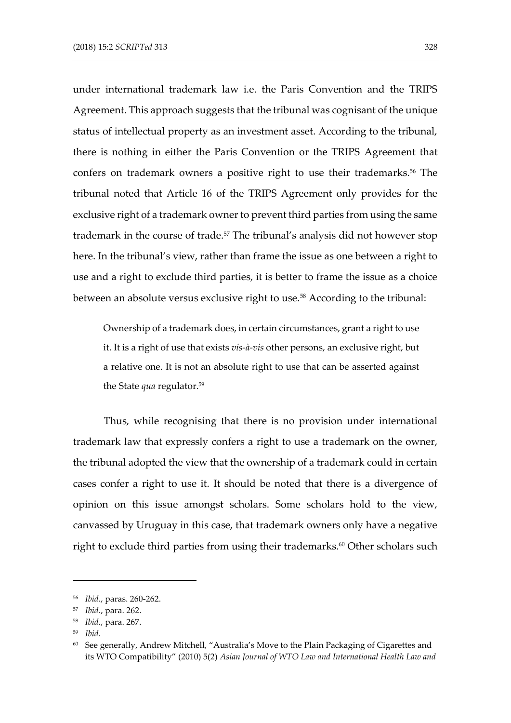under international trademark law i.e. the Paris Convention and the TRIPS Agreement. This approach suggests that the tribunal was cognisant of the unique status of intellectual property as an investment asset. According to the tribunal, there is nothing in either the Paris Convention or the TRIPS Agreement that confers on trademark owners a positive right to use their trademarks.<sup>56</sup> The tribunal noted that Article 16 of the TRIPS Agreement only provides for the exclusive right of a trademark owner to prevent third parties from using the same trademark in the course of trade.<sup>57</sup> The tribunal's analysis did not however stop here. In the tribunal's view, rather than frame the issue as one between a right to use and a right to exclude third parties, it is better to frame the issue as a choice between an absolute versus exclusive right to use.<sup>58</sup> According to the tribunal:

Ownership of a trademark does, in certain circumstances, grant a right to use it. It is a right of use that exists *vis-à-vis* other persons, an exclusive right, but a relative one. It is not an absolute right to use that can be asserted against the State *qua* regulator.<sup>59</sup>

Thus, while recognising that there is no provision under international trademark law that expressly confers a right to use a trademark on the owner, the tribunal adopted the view that the ownership of a trademark could in certain cases confer a right to use it. It should be noted that there is a divergence of opinion on this issue amongst scholars. Some scholars hold to the view, canvassed by Uruguay in this case, that trademark owners only have a negative right to exclude third parties from using their trademarks.<sup>60</sup> Other scholars such

<sup>56</sup> *Ibid*., paras. 260-262.

<sup>57</sup> *Ibid*., para. 262.

<sup>58</sup> *Ibid*., para. 267.

<sup>59</sup> *Ibid*.

 $60$  See generally, Andrew Mitchell, "Australia's Move to the Plain Packaging of Cigarettes and its WTO Compatibility" (2010) 5(2) *Asian Journal of WTO Law and International Health Law and*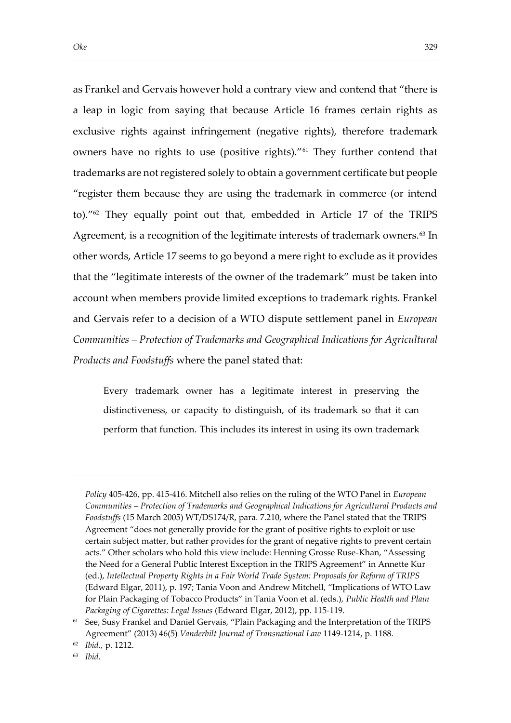as Frankel and Gervais however hold a contrary view and contend that "there is a leap in logic from saying that because Article 16 frames certain rights as exclusive rights against infringement (negative rights), therefore trademark owners have no rights to use (positive rights)."<sup>61</sup> They further contend that trademarks are not registered solely to obtain a government certificate but people "register them because they are using the trademark in commerce (or intend to)."<sup>62</sup> They equally point out that, embedded in Article 17 of the TRIPS Agreement, is a recognition of the legitimate interests of trademark owners.<sup>63</sup> In other words, Article 17 seems to go beyond a mere right to exclude as it provides that the "legitimate interests of the owner of the trademark" must be taken into account when members provide limited exceptions to trademark rights. Frankel and Gervais refer to a decision of a WTO dispute settlement panel in *European Communities – Protection of Trademarks and Geographical Indications for Agricultural Products and Foodstuffs* where the panel stated that:

Every trademark owner has a legitimate interest in preserving the distinctiveness, or capacity to distinguish, of its trademark so that it can perform that function. This includes its interest in using its own trademark

*Policy* 405-426, pp. 415-416. Mitchell also relies on the ruling of the WTO Panel in *European Communities – Protection of Trademarks and Geographical Indications for Agricultural Products and Foodstuffs* (15 March 2005) WT/DS174/R, para. 7.210, where the Panel stated that the TRIPS Agreement "does not generally provide for the grant of positive rights to exploit or use certain subject matter, but rather provides for the grant of negative rights to prevent certain acts." Other scholars who hold this view include: Henning Grosse Ruse-Khan, "Assessing the Need for a General Public Interest Exception in the TRIPS Agreement" in Annette Kur (ed.), *Intellectual Property Rights in a Fair World Trade System: Proposals for Reform of TRIPS* (Edward Elgar, 2011), p. 197; Tania Voon and Andrew Mitchell, "Implications of WTO Law for Plain Packaging of Tobacco Products" in Tania Voon et al. (eds.), *Public Health and Plain Packaging of Cigarettes: Legal Issues* (Edward Elgar, 2012), pp. 115-119.

<sup>61</sup> See, Susy Frankel and Daniel Gervais, "Plain Packaging and the Interpretation of the TRIPS Agreement" (2013) 46(5) *Vanderbilt Journal of Transnational Law* 1149-1214, p. 1188.

<sup>62</sup> *Ibid.,* p. 1212.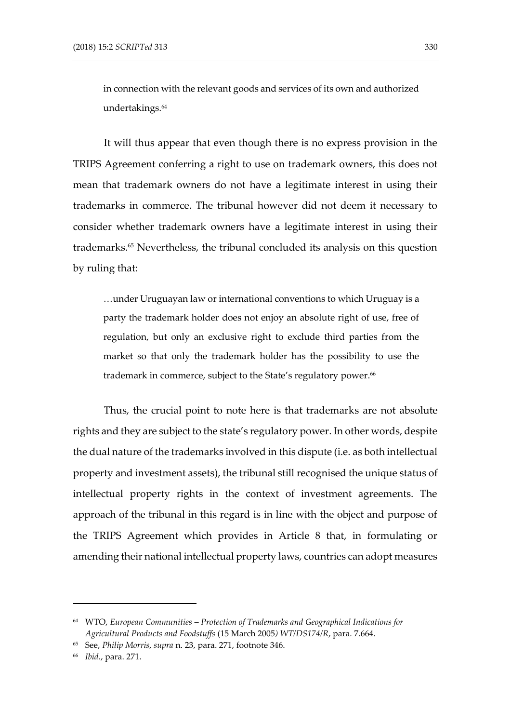in connection with the relevant goods and services of its own and authorized undertakings.<sup>64</sup>

It will thus appear that even though there is no express provision in the TRIPS Agreement conferring a right to use on trademark owners, this does not mean that trademark owners do not have a legitimate interest in using their trademarks in commerce. The tribunal however did not deem it necessary to consider whether trademark owners have a legitimate interest in using their trademarks.<sup>65</sup> Nevertheless, the tribunal concluded its analysis on this question by ruling that:

…under Uruguayan law or international conventions to which Uruguay is a party the trademark holder does not enjoy an absolute right of use, free of regulation, but only an exclusive right to exclude third parties from the market so that only the trademark holder has the possibility to use the trademark in commerce, subject to the State's regulatory power.<sup>66</sup>

Thus, the crucial point to note here is that trademarks are not absolute rights and they are subject to the state's regulatory power. In other words, despite the dual nature of the trademarks involved in this dispute (i.e. as both intellectual property and investment assets), the tribunal still recognised the unique status of intellectual property rights in the context of investment agreements. The approach of the tribunal in this regard is in line with the object and purpose of the TRIPS Agreement which provides in Article 8 that, in formulating or amending their national intellectual property laws, countries can adopt measures

<sup>64</sup> WTO, *European Communities – Protection of Trademarks and Geographical Indications for Agricultural Products and Foodstuffs* (15 March 2005*) WT/DS174/R*, para. 7.664.

<sup>65</sup> See, *Philip Morris*, *supra* n. 23, para. 271, footnote 346.

<sup>66</sup> *Ibid*., para. 271.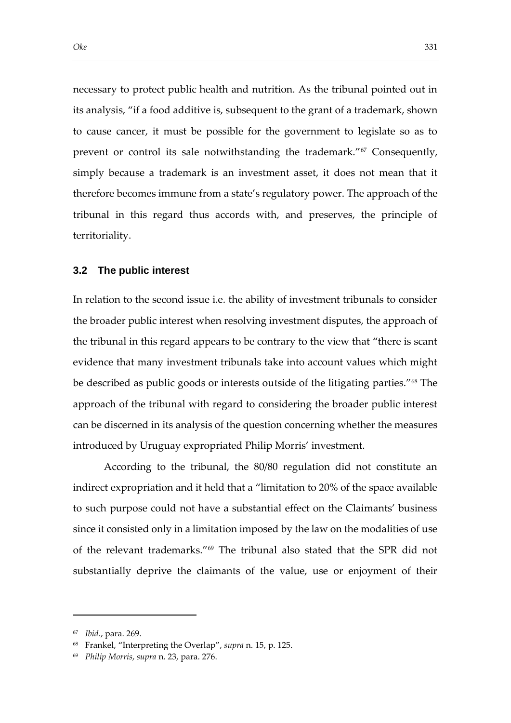necessary to protect public health and nutrition. As the tribunal pointed out in its analysis, "if a food additive is, subsequent to the grant of a trademark, shown to cause cancer, it must be possible for the government to legislate so as to prevent or control its sale notwithstanding the trademark."<sup>67</sup> Consequently, simply because a trademark is an investment asset, it does not mean that it therefore becomes immune from a state's regulatory power. The approach of the tribunal in this regard thus accords with, and preserves, the principle of territoriality.

#### **3.2 The public interest**

In relation to the second issue i.e. the ability of investment tribunals to consider the broader public interest when resolving investment disputes, the approach of the tribunal in this regard appears to be contrary to the view that "there is scant evidence that many investment tribunals take into account values which might be described as public goods or interests outside of the litigating parties."<sup>68</sup> The approach of the tribunal with regard to considering the broader public interest can be discerned in its analysis of the question concerning whether the measures introduced by Uruguay expropriated Philip Morris' investment.

According to the tribunal, the 80/80 regulation did not constitute an indirect expropriation and it held that a "limitation to 20% of the space available to such purpose could not have a substantial effect on the Claimants' business since it consisted only in a limitation imposed by the law on the modalities of use of the relevant trademarks."<sup>69</sup> The tribunal also stated that the SPR did not substantially deprive the claimants of the value, use or enjoyment of their

<sup>67</sup> *Ibid*., para. 269.

<sup>68</sup> Frankel, "Interpreting the Overlap", *supra* n. 15, p. 125.

<sup>69</sup> *Philip Morris*, *supra* n. 23, para. 276.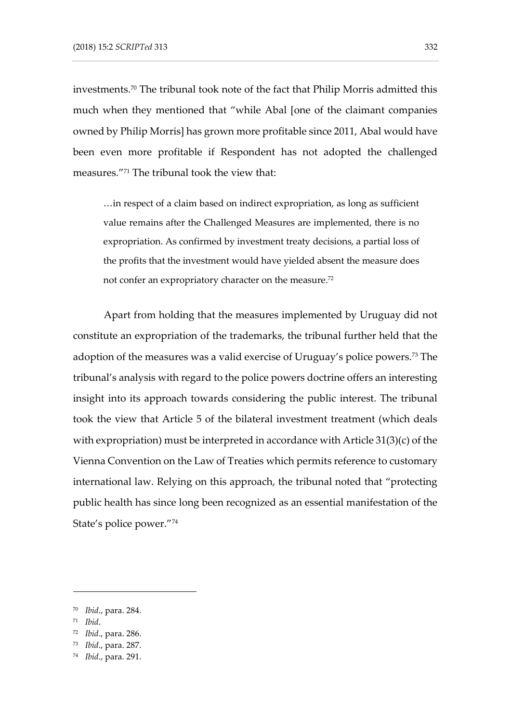investments.<sup>70</sup> The tribunal took note of the fact that Philip Morris admitted this much when they mentioned that "while Abal [one of the claimant companies owned by Philip Morris] has grown more profitable since 2011, Abal would have been even more profitable if Respondent has not adopted the challenged measures."<sup>71</sup> The tribunal took the view that:

…in respect of a claim based on indirect expropriation, as long as sufficient value remains after the Challenged Measures are implemented, there is no expropriation. As confirmed by investment treaty decisions, a partial loss of the profits that the investment would have yielded absent the measure does not confer an expropriatory character on the measure.<sup>72</sup>

Apart from holding that the measures implemented by Uruguay did not constitute an expropriation of the trademarks, the tribunal further held that the adoption of the measures was a valid exercise of Uruguay's police powers.<sup>73</sup> The tribunal's analysis with regard to the police powers doctrine offers an interesting insight into its approach towards considering the public interest. The tribunal took the view that Article 5 of the bilateral investment treatment (which deals with expropriation) must be interpreted in accordance with Article 31(3)(c) of the Vienna Convention on the Law of Treaties which permits reference to customary international law. Relying on this approach, the tribunal noted that "protecting public health has since long been recognized as an essential manifestation of the State's police power."<sup>74</sup>

<sup>71</sup> *Ibid*.

<sup>70</sup> *Ibid*., para. 284.

<sup>72</sup> *Ibid*., para. 286.

<sup>73</sup> *Ibid*., para. 287.

<sup>74</sup> *Ibid*., para. 291.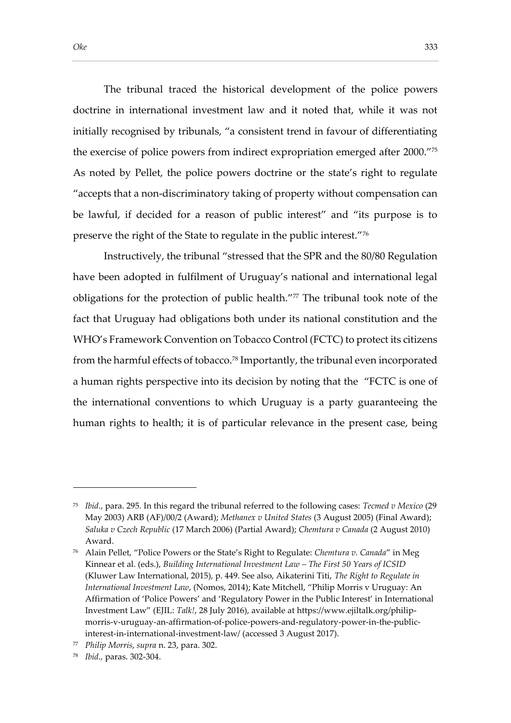The tribunal traced the historical development of the police powers doctrine in international investment law and it noted that, while it was not initially recognised by tribunals, "a consistent trend in favour of differentiating the exercise of police powers from indirect expropriation emerged after 2000." 75 As noted by Pellet, the police powers doctrine or the state's right to regulate "accepts that a non-discriminatory taking of property without compensation can be lawful, if decided for a reason of public interest" and "its purpose is to preserve the right of the State to regulate in the public interest."76

Instructively, the tribunal "stressed that the SPR and the 80/80 Regulation have been adopted in fulfilment of Uruguay's national and international legal obligations for the protection of public health."77 The tribunal took note of the fact that Uruguay had obligations both under its national constitution and the WHO's Framework Convention on Tobacco Control (FCTC) to protect its citizens from the harmful effects of tobacco.<sup>78</sup> Importantly, the tribunal even incorporated a human rights perspective into its decision by noting that the "FCTC is one of the international conventions to which Uruguay is a party guaranteeing the human rights to health; it is of particular relevance in the present case, being

<sup>75</sup> *Ibid.*, para. 295. In this regard the tribunal referred to the following cases: *Tecmed v Mexico* (29 May 2003) ARB (AF)/00/2 (Award); *Methanex v United States* (3 August 2005) (Final Award); *Saluka v Czech Republic* (17 March 2006) (Partial Award); *Chemtura v Canada* (2 August 2010) Award.

<sup>76</sup> Alain Pellet, "Police Powers or the State's Right to Regulate: *Chemtura v. Canada*" in Meg Kinnear et al. (eds.), *Building International Investment Law – The First 50 Years of ICSID* (Kluwer Law International, 2015), p. 449. See also, Aikaterini Titi, *The Right to Regulate in International Investment Law*, (Nomos, 2014); Kate Mitchell, "Philip Morris v Uruguay: An Affirmation of 'Police Powers' and 'Regulatory Power in the Public Interest' in International Investment Law" (EJIL: *Talk!*, 28 July 2016), available at https://www.ejiltalk.org/philipmorris-v-uruguay-an-affirmation-of-police-powers-and-regulatory-power-in-the-publicinterest-in-international-investment-law/ (accessed 3 August 2017).

<sup>77</sup> *Philip Morris*, *supra* n. 23, para. 302.

<sup>78</sup> *Ibid.,* paras. 302-304.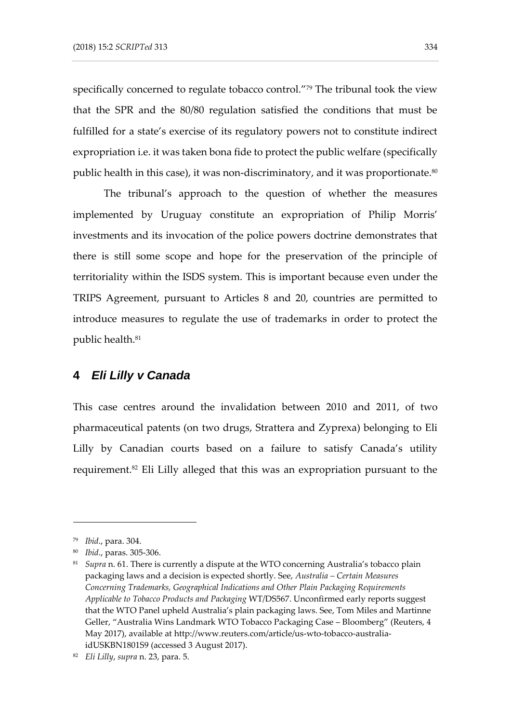specifically concerned to regulate tobacco control."<sup>79</sup> The tribunal took the view that the SPR and the 80/80 regulation satisfied the conditions that must be fulfilled for a state's exercise of its regulatory powers not to constitute indirect expropriation i.e. it was taken bona fide to protect the public welfare (specifically public health in this case), it was non-discriminatory, and it was proportionate.<sup>80</sup>

The tribunal's approach to the question of whether the measures implemented by Uruguay constitute an expropriation of Philip Morris' investments and its invocation of the police powers doctrine demonstrates that there is still some scope and hope for the preservation of the principle of territoriality within the ISDS system. This is important because even under the TRIPS Agreement, pursuant to Articles 8 and 20, countries are permitted to introduce measures to regulate the use of trademarks in order to protect the public health.<sup>81</sup>

### **4** *Eli Lilly v Canada*

This case centres around the invalidation between 2010 and 2011, of two pharmaceutical patents (on two drugs, Strattera and Zyprexa) belonging to Eli Lilly by Canadian courts based on a failure to satisfy Canada's utility requirement.<sup>82</sup> Eli Lilly alleged that this was an expropriation pursuant to the

<sup>79</sup> *Ibid*., para. 304.

<sup>80</sup> *Ibid*., paras. 305-306.

<sup>81</sup> *Supra* n. 61. There is currently a dispute at the WTO concerning Australia's tobacco plain packaging laws and a decision is expected shortly. See, *Australia – Certain Measures Concerning Trademarks, Geographical Indications and Other Plain Packaging Requirements Applicable to Tobacco Products and Packaging* WT/DS567. Unconfirmed early reports suggest that the WTO Panel upheld Australia's plain packaging laws. See, Tom Miles and Martinne Geller, "Australia Wins Landmark WTO Tobacco Packaging Case – Bloomberg" (Reuters, 4 May 2017), available at http://www.reuters.com/article/us-wto-tobacco-australiaidUSKBN1801S9 (accessed 3 August 2017).

<sup>82</sup> *Eli Lilly*, *supra* n. 23, para. 5.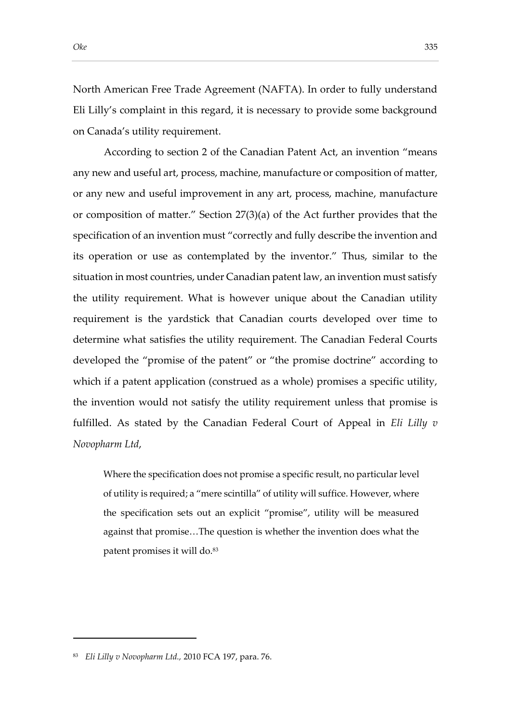North American Free Trade Agreement (NAFTA). In order to fully understand Eli Lilly's complaint in this regard, it is necessary to provide some background on Canada's utility requirement.

According to section 2 of the Canadian Patent Act, an invention "means any new and useful art, process, machine, manufacture or composition of matter, or any new and useful improvement in any art, process, machine, manufacture or composition of matter." Section 27(3)(a) of the Act further provides that the specification of an invention must "correctly and fully describe the invention and its operation or use as contemplated by the inventor." Thus, similar to the situation in most countries, under Canadian patent law, an invention must satisfy the utility requirement. What is however unique about the Canadian utility requirement is the yardstick that Canadian courts developed over time to determine what satisfies the utility requirement. The Canadian Federal Courts developed the "promise of the patent" or "the promise doctrine" according to which if a patent application (construed as a whole) promises a specific utility, the invention would not satisfy the utility requirement unless that promise is fulfilled. As stated by the Canadian Federal Court of Appeal in *Eli Lilly v Novopharm Ltd*,

Where the specification does not promise a specific result, no particular level of utility is required; a "mere scintilla" of utility will suffice. However, where the specification sets out an explicit "promise", utility will be measured against that promise…The question is whether the invention does what the patent promises it will do.<sup>83</sup>

<sup>83</sup> *Eli Lilly v Novopharm Ltd.,* 2010 FCA 197, para. 76.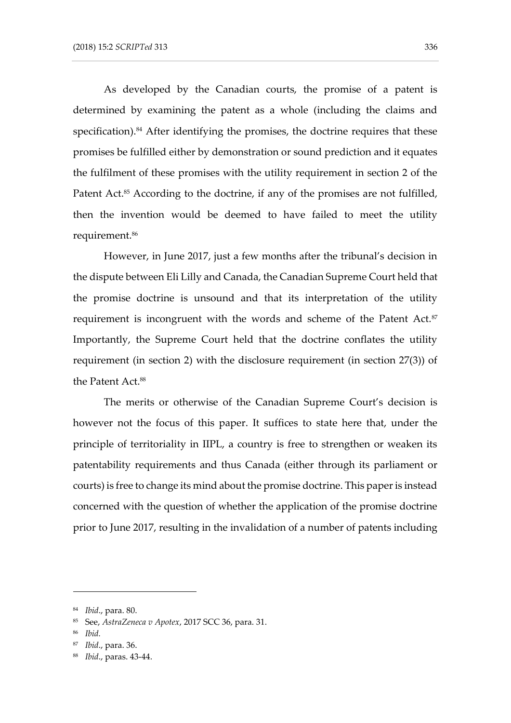As developed by the Canadian courts, the promise of a patent is determined by examining the patent as a whole (including the claims and specification).<sup>84</sup> After identifying the promises, the doctrine requires that these promises be fulfilled either by demonstration or sound prediction and it equates the fulfilment of these promises with the utility requirement in section 2 of the Patent Act.<sup>85</sup> According to the doctrine, if any of the promises are not fulfilled, then the invention would be deemed to have failed to meet the utility requirement.<sup>86</sup>

However, in June 2017, just a few months after the tribunal's decision in the dispute between Eli Lilly and Canada, the Canadian Supreme Court held that the promise doctrine is unsound and that its interpretation of the utility requirement is incongruent with the words and scheme of the Patent Act.<sup>87</sup> Importantly, the Supreme Court held that the doctrine conflates the utility requirement (in section 2) with the disclosure requirement (in section 27(3)) of the Patent Act.<sup>88</sup>

The merits or otherwise of the Canadian Supreme Court's decision is however not the focus of this paper. It suffices to state here that, under the principle of territoriality in IIPL, a country is free to strengthen or weaken its patentability requirements and thus Canada (either through its parliament or courts) is free to change its mind about the promise doctrine. This paper is instead concerned with the question of whether the application of the promise doctrine prior to June 2017, resulting in the invalidation of a number of patents including

<sup>84</sup> *Ibid*., para. 80.

<sup>85</sup> See, *AstraZeneca v Apotex*, 2017 SCC 36, para. 31.

<sup>86</sup> *Ibid.*

<sup>87</sup> *Ibid*., para. 36.

<sup>88</sup> *Ibid*., paras. 43-44.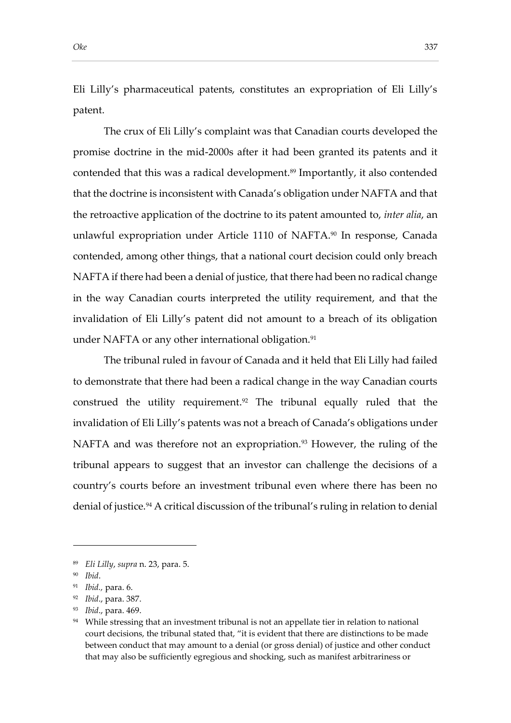Eli Lilly's pharmaceutical patents, constitutes an expropriation of Eli Lilly's patent.

The crux of Eli Lilly's complaint was that Canadian courts developed the promise doctrine in the mid-2000s after it had been granted its patents and it contended that this was a radical development.<sup>89</sup> Importantly, it also contended that the doctrine is inconsistent with Canada's obligation under NAFTA and that the retroactive application of the doctrine to its patent amounted to, *inter alia*, an unlawful expropriation under Article 1110 of NAFTA.<sup>90</sup> In response, Canada contended, among other things, that a national court decision could only breach NAFTA if there had been a denial of justice, that there had been no radical change in the way Canadian courts interpreted the utility requirement, and that the invalidation of Eli Lilly's patent did not amount to a breach of its obligation under NAFTA or any other international obligation.<sup>91</sup>

The tribunal ruled in favour of Canada and it held that Eli Lilly had failed to demonstrate that there had been a radical change in the way Canadian courts construed the utility requirement.<sup>92</sup> The tribunal equally ruled that the invalidation of Eli Lilly's patents was not a breach of Canada's obligations under NAFTA and was therefore not an expropriation.<sup>93</sup> However, the ruling of the tribunal appears to suggest that an investor can challenge the decisions of a country's courts before an investment tribunal even where there has been no denial of justice.<sup>94</sup> A critical discussion of the tribunal's ruling in relation to denial

<sup>89</sup> *Eli Lilly*, *supra* n. 23, para. 5.

<sup>90</sup> *Ibid*.

<sup>91</sup> *Ibid.,* para. 6.

<sup>92</sup> *Ibid*., para. 387.

<sup>93</sup> *Ibid*., para. 469.

 $94$  While stressing that an investment tribunal is not an appellate tier in relation to national court decisions, the tribunal stated that, "it is evident that there are distinctions to be made between conduct that may amount to a denial (or gross denial) of justice and other conduct that may also be sufficiently egregious and shocking, such as manifest arbitrariness or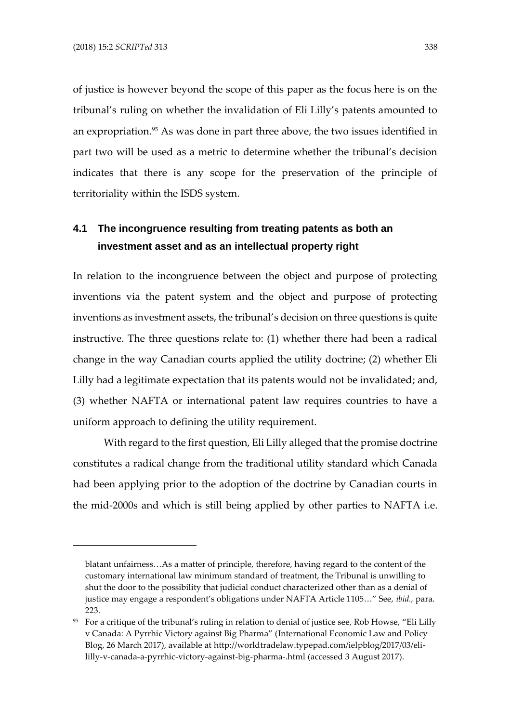of justice is however beyond the scope of this paper as the focus here is on the tribunal's ruling on whether the invalidation of Eli Lilly's patents amounted to an expropriation.<sup>95</sup> As was done in part three above, the two issues identified in part two will be used as a metric to determine whether the tribunal's decision indicates that there is any scope for the preservation of the principle of territoriality within the ISDS system.

## **4.1 The incongruence resulting from treating patents as both an investment asset and as an intellectual property right**

In relation to the incongruence between the object and purpose of protecting inventions via the patent system and the object and purpose of protecting inventions as investment assets, the tribunal's decision on three questions is quite instructive. The three questions relate to: (1) whether there had been a radical change in the way Canadian courts applied the utility doctrine; (2) whether Eli Lilly had a legitimate expectation that its patents would not be invalidated; and, (3) whether NAFTA or international patent law requires countries to have a uniform approach to defining the utility requirement.

With regard to the first question, Eli Lilly alleged that the promise doctrine constitutes a radical change from the traditional utility standard which Canada had been applying prior to the adoption of the doctrine by Canadian courts in the mid-2000s and which is still being applied by other parties to NAFTA i.e.

blatant unfairness…As a matter of principle, therefore, having regard to the content of the customary international law minimum standard of treatment, the Tribunal is unwilling to shut the door to the possibility that judicial conduct characterized other than as a denial of justice may engage a respondent's obligations under NAFTA Article 1105…" See, *ibid.,* para. 223.

<sup>95</sup> For a critique of the tribunal's ruling in relation to denial of justice see, Rob Howse, "Eli Lilly v Canada: A Pyrrhic Victory against Big Pharma" (International Economic Law and Policy Blog, 26 March 2017), available at http://worldtradelaw.typepad.com/ielpblog/2017/03/elililly-v-canada-a-pyrrhic-victory-against-big-pharma-.html (accessed 3 August 2017).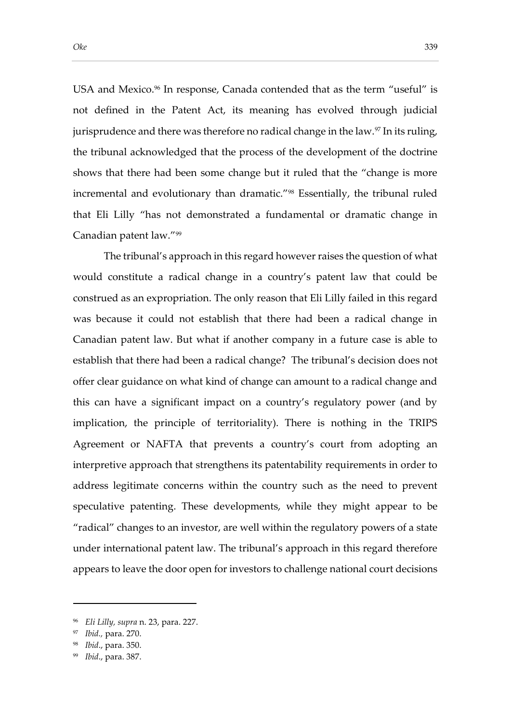USA and Mexico.<sup>96</sup> In response, Canada contended that as the term "useful" is not defined in the Patent Act, its meaning has evolved through judicial jurisprudence and there was therefore no radical change in the law. $97$  In its ruling, the tribunal acknowledged that the process of the development of the doctrine shows that there had been some change but it ruled that the "change is more incremental and evolutionary than dramatic."<sup>98</sup> Essentially, the tribunal ruled that Eli Lilly "has not demonstrated a fundamental or dramatic change in Canadian patent law."<sup>99</sup>

The tribunal's approach in this regard however raises the question of what would constitute a radical change in a country's patent law that could be construed as an expropriation. The only reason that Eli Lilly failed in this regard was because it could not establish that there had been a radical change in Canadian patent law. But what if another company in a future case is able to establish that there had been a radical change? The tribunal's decision does not offer clear guidance on what kind of change can amount to a radical change and this can have a significant impact on a country's regulatory power (and by implication, the principle of territoriality). There is nothing in the TRIPS Agreement or NAFTA that prevents a country's court from adopting an interpretive approach that strengthens its patentability requirements in order to address legitimate concerns within the country such as the need to prevent speculative patenting. These developments, while they might appear to be "radical" changes to an investor, are well within the regulatory powers of a state under international patent law. The tribunal's approach in this regard therefore appears to leave the door open for investors to challenge national court decisions

<sup>96</sup> *Eli Lilly, supra* n. 23, para. 227.

<sup>97</sup> *Ibid.,* para. 270.

<sup>98</sup> *Ibid*., para. 350.

<sup>99</sup> *Ibid*., para. 387.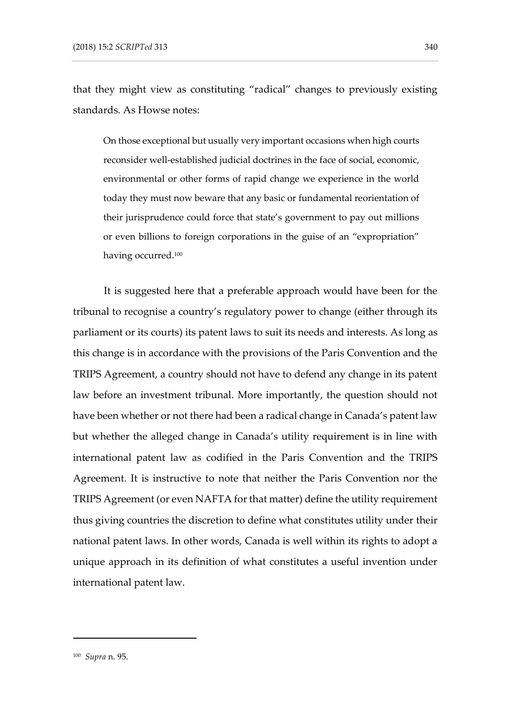that they might view as constituting "radical" changes to previously existing standards. As Howse notes:

On those exceptional but usually very important occasions when high courts reconsider well-established judicial doctrines in the face of social, economic, environmental or other forms of rapid change we experience in the world today they must now beware that any basic or fundamental reorientation of their jurisprudence could force that state's government to pay out millions or even billions to foreign corporations in the guise of an "expropriation" having occurred.<sup>100</sup>

It is suggested here that a preferable approach would have been for the tribunal to recognise a country's regulatory power to change (either through its parliament or its courts) its patent laws to suit its needs and interests. As long as this change is in accordance with the provisions of the Paris Convention and the TRIPS Agreement, a country should not have to defend any change in its patent law before an investment tribunal. More importantly, the question should not have been whether or not there had been a radical change in Canada's patent law but whether the alleged change in Canada's utility requirement is in line with international patent law as codified in the Paris Convention and the TRIPS Agreement. It is instructive to note that neither the Paris Convention nor the TRIPS Agreement (or even NAFTA for that matter) define the utility requirement thus giving countries the discretion to define what constitutes utility under their national patent laws. In other words, Canada is well within its rights to adopt a unique approach in its definition of what constitutes a useful invention under international patent law.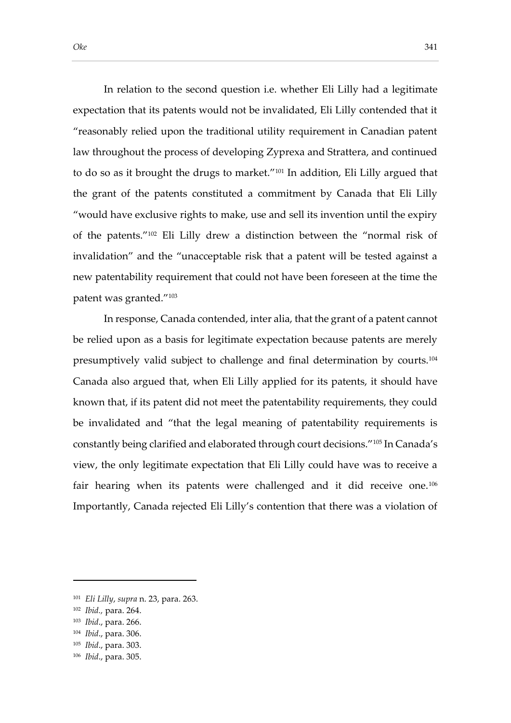In relation to the second question i.e. whether Eli Lilly had a legitimate expectation that its patents would not be invalidated, Eli Lilly contended that it "reasonably relied upon the traditional utility requirement in Canadian patent law throughout the process of developing Zyprexa and Strattera, and continued to do so as it brought the drugs to market."<sup>101</sup> In addition, Eli Lilly argued that the grant of the patents constituted a commitment by Canada that Eli Lilly "would have exclusive rights to make, use and sell its invention until the expiry of the patents."<sup>102</sup> Eli Lilly drew a distinction between the "normal risk of invalidation" and the "unacceptable risk that a patent will be tested against a new patentability requirement that could not have been foreseen at the time the patent was granted."<sup>103</sup>

In response, Canada contended, inter alia, that the grant of a patent cannot be relied upon as a basis for legitimate expectation because patents are merely presumptively valid subject to challenge and final determination by courts.<sup>104</sup> Canada also argued that, when Eli Lilly applied for its patents, it should have known that, if its patent did not meet the patentability requirements, they could be invalidated and "that the legal meaning of patentability requirements is constantly being clarified and elaborated through court decisions."<sup>105</sup> In Canada's view, the only legitimate expectation that Eli Lilly could have was to receive a fair hearing when its patents were challenged and it did receive one.<sup>106</sup> Importantly, Canada rejected Eli Lilly's contention that there was a violation of

<sup>101</sup> *Eli Lilly*, *supra* n. 23, para. 263.

<sup>102</sup> *Ibid.,* para. 264.

<sup>103</sup> *Ibid*., para. 266.

<sup>104</sup> *Ibid*., para. 306.

<sup>105</sup> *Ibid*., para. 303.

<sup>106</sup> *Ibid*., para. 305.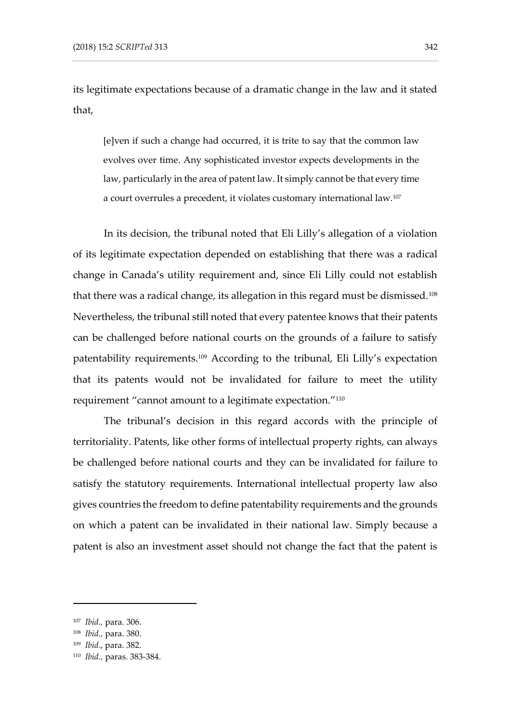its legitimate expectations because of a dramatic change in the law and it stated that,

[e]ven if such a change had occurred, it is trite to say that the common law evolves over time. Any sophisticated investor expects developments in the law, particularly in the area of patent law. It simply cannot be that every time a court overrules a precedent, it violates customary international law.<sup>107</sup>

In its decision, the tribunal noted that Eli Lilly's allegation of a violation of its legitimate expectation depended on establishing that there was a radical change in Canada's utility requirement and, since Eli Lilly could not establish that there was a radical change, its allegation in this regard must be dismissed.<sup>108</sup> Nevertheless, the tribunal still noted that every patentee knows that their patents can be challenged before national courts on the grounds of a failure to satisfy patentability requirements.<sup>109</sup> According to the tribunal, Eli Lilly's expectation that its patents would not be invalidated for failure to meet the utility requirement "cannot amount to a legitimate expectation."<sup>110</sup>

The tribunal's decision in this regard accords with the principle of territoriality. Patents, like other forms of intellectual property rights, can always be challenged before national courts and they can be invalidated for failure to satisfy the statutory requirements. International intellectual property law also gives countries the freedom to define patentability requirements and the grounds on which a patent can be invalidated in their national law. Simply because a patent is also an investment asset should not change the fact that the patent is

<sup>107</sup> *Ibid.,* para. 306.

<sup>108</sup> *Ibid.,* para. 380.

<sup>109</sup> *Ibid*., para. 382.

<sup>110</sup> *Ibid.,* paras. 383-384.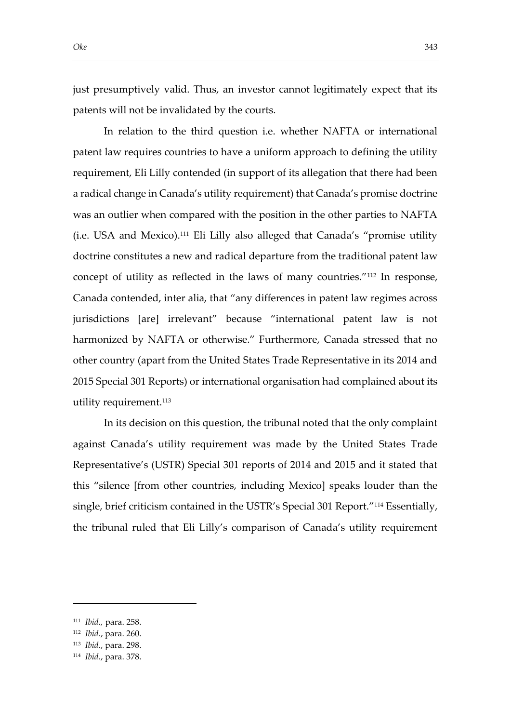just presumptively valid. Thus, an investor cannot legitimately expect that its patents will not be invalidated by the courts.

In relation to the third question i.e. whether NAFTA or international patent law requires countries to have a uniform approach to defining the utility requirement, Eli Lilly contended (in support of its allegation that there had been a radical change in Canada's utility requirement) that Canada's promise doctrine was an outlier when compared with the position in the other parties to NAFTA (i.e. USA and Mexico).<sup>111</sup> Eli Lilly also alleged that Canada's "promise utility doctrine constitutes a new and radical departure from the traditional patent law concept of utility as reflected in the laws of many countries."<sup>112</sup> In response, Canada contended, inter alia, that "any differences in patent law regimes across jurisdictions [are] irrelevant" because "international patent law is not harmonized by NAFTA or otherwise." Furthermore, Canada stressed that no other country (apart from the United States Trade Representative in its 2014 and 2015 Special 301 Reports) or international organisation had complained about its utility requirement.<sup>113</sup>

In its decision on this question, the tribunal noted that the only complaint against Canada's utility requirement was made by the United States Trade Representative's (USTR) Special 301 reports of 2014 and 2015 and it stated that this "silence [from other countries, including Mexico] speaks louder than the single, brief criticism contained in the USTR's Special 301 Report."<sup>114</sup> Essentially, the tribunal ruled that Eli Lilly's comparison of Canada's utility requirement

<sup>111</sup> *Ibid.,* para. 258.

<sup>112</sup> *Ibid*., para. 260.

<sup>113</sup> *Ibid*., para. 298.

<sup>114</sup> *Ibid*., para. 378.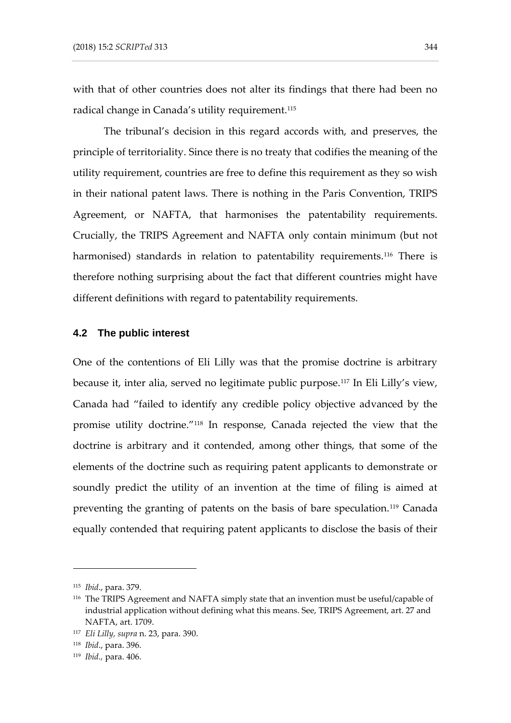with that of other countries does not alter its findings that there had been no radical change in Canada's utility requirement.<sup>115</sup>

The tribunal's decision in this regard accords with, and preserves, the principle of territoriality. Since there is no treaty that codifies the meaning of the utility requirement, countries are free to define this requirement as they so wish in their national patent laws. There is nothing in the Paris Convention, TRIPS Agreement, or NAFTA, that harmonises the patentability requirements. Crucially, the TRIPS Agreement and NAFTA only contain minimum (but not harmonised) standards in relation to patentability requirements.<sup>116</sup> There is therefore nothing surprising about the fact that different countries might have different definitions with regard to patentability requirements.

#### **4.2 The public interest**

One of the contentions of Eli Lilly was that the promise doctrine is arbitrary because it, inter alia, served no legitimate public purpose.<sup>117</sup> In Eli Lilly's view, Canada had "failed to identify any credible policy objective advanced by the promise utility doctrine."<sup>118</sup> In response, Canada rejected the view that the doctrine is arbitrary and it contended, among other things, that some of the elements of the doctrine such as requiring patent applicants to demonstrate or soundly predict the utility of an invention at the time of filing is aimed at preventing the granting of patents on the basis of bare speculation.<sup>119</sup> Canada equally contended that requiring patent applicants to disclose the basis of their

<sup>115</sup> *Ibid*., para. 379.

<sup>116</sup> The TRIPS Agreement and NAFTA simply state that an invention must be useful/capable of industrial application without defining what this means. See, TRIPS Agreement, art. 27 and NAFTA, art. 1709.

<sup>117</sup> *Eli Lilly, supra* n. 23, para. 390.

<sup>118</sup> *Ibid*., para. 396.

<sup>119</sup> *Ibid.,* para. 406.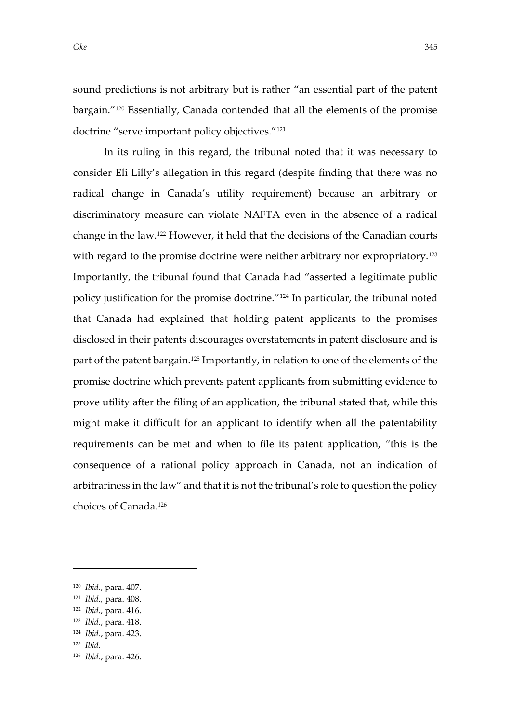sound predictions is not arbitrary but is rather "an essential part of the patent bargain."<sup>120</sup> Essentially, Canada contended that all the elements of the promise doctrine "serve important policy objectives."<sup>121</sup>

In its ruling in this regard, the tribunal noted that it was necessary to consider Eli Lilly's allegation in this regard (despite finding that there was no radical change in Canada's utility requirement) because an arbitrary or discriminatory measure can violate NAFTA even in the absence of a radical change in the law.<sup>122</sup> However, it held that the decisions of the Canadian courts with regard to the promise doctrine were neither arbitrary nor expropriatory.<sup>123</sup> Importantly, the tribunal found that Canada had "asserted a legitimate public policy justification for the promise doctrine."<sup>124</sup> In particular, the tribunal noted that Canada had explained that holding patent applicants to the promises disclosed in their patents discourages overstatements in patent disclosure and is part of the patent bargain.<sup>125</sup> Importantly, in relation to one of the elements of the promise doctrine which prevents patent applicants from submitting evidence to prove utility after the filing of an application, the tribunal stated that, while this might make it difficult for an applicant to identify when all the patentability requirements can be met and when to file its patent application, "this is the consequence of a rational policy approach in Canada, not an indication of arbitrariness in the law" and that it is not the tribunal's role to question the policy choices of Canada.<sup>126</sup>

<sup>120</sup> *Ibid*., para. 407.

<sup>121</sup> *Ibid.,* para. 408.

<sup>122</sup> *Ibid.,* para. 416.

<sup>123</sup> *Ibid*., para. 418.

<sup>124</sup> *Ibid*., para. 423.

<sup>125</sup> *Ibid.*

<sup>126</sup> *Ibid*., para. 426.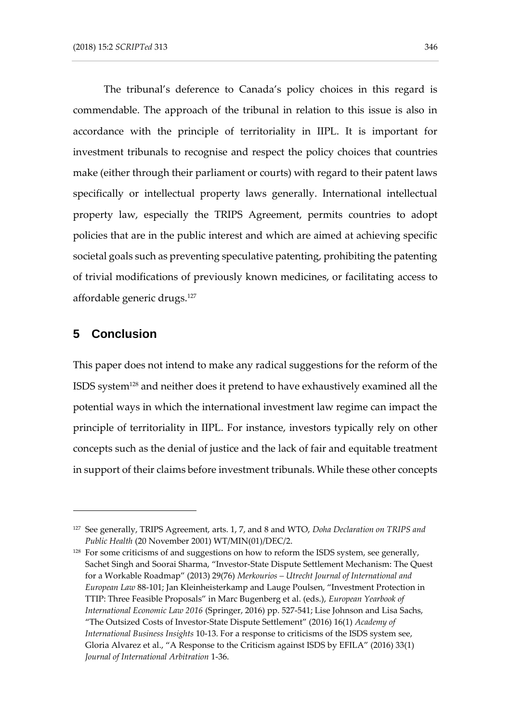The tribunal's deference to Canada's policy choices in this regard is commendable. The approach of the tribunal in relation to this issue is also in accordance with the principle of territoriality in IIPL. It is important for investment tribunals to recognise and respect the policy choices that countries make (either through their parliament or courts) with regard to their patent laws specifically or intellectual property laws generally. International intellectual property law, especially the TRIPS Agreement, permits countries to adopt policies that are in the public interest and which are aimed at achieving specific societal goals such as preventing speculative patenting, prohibiting the patenting of trivial modifications of previously known medicines, or facilitating access to affordable generic drugs.<sup>127</sup>

## **5 Conclusion**

-

This paper does not intend to make any radical suggestions for the reform of the ISDS system<sup>128</sup> and neither does it pretend to have exhaustively examined all the potential ways in which the international investment law regime can impact the principle of territoriality in IIPL. For instance, investors typically rely on other concepts such as the denial of justice and the lack of fair and equitable treatment in support of their claims before investment tribunals. While these other concepts

<sup>127</sup> See generally, TRIPS Agreement, arts. 1, 7, and 8 and WTO, *Doha Declaration on TRIPS and Public Health* (20 November 2001) WT/MIN(01)/DEC/2.

<sup>&</sup>lt;sup>128</sup> For some criticisms of and suggestions on how to reform the ISDS system, see generally, Sachet Singh and Soorai Sharma, "Investor-State Dispute Settlement Mechanism: The Quest for a Workable Roadmap" (2013) 29(76) *Merkourios – Utrecht Journal of International and European Law* 88-101; Jan Kleinheisterkamp and Lauge Poulsen, "Investment Protection in TTIP: Three Feasible Proposals" in Marc Bugenberg et al. (eds.), *European Yearbook of International Economic Law 2016* (Springer, 2016) pp. 527-541; Lise Johnson and Lisa Sachs, "The Outsized Costs of Investor-State Dispute Settlement" (2016) 16(1) *Academy of International Business Insights* 10-13. For a response to criticisms of the ISDS system see, Gloria Alvarez et al., "A Response to the Criticism against ISDS by EFILA" (2016) 33(1) *Journal of International Arbitration* 1-36.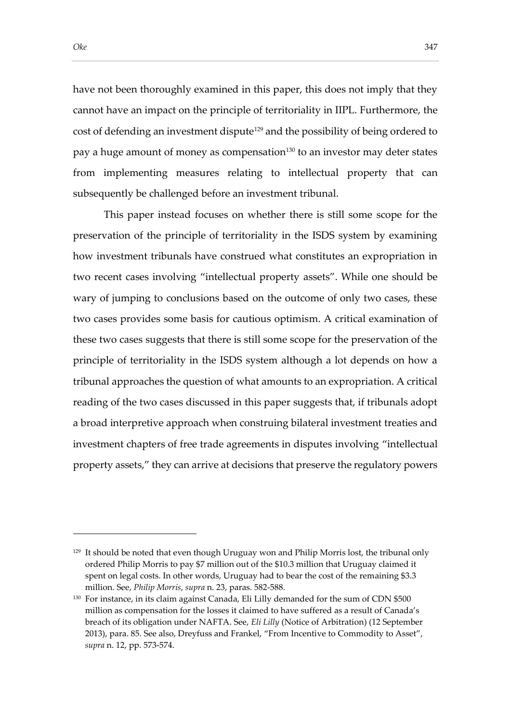have not been thoroughly examined in this paper, this does not imply that they cannot have an impact on the principle of territoriality in IIPL. Furthermore, the cost of defending an investment dispute<sup>129</sup> and the possibility of being ordered to pay a huge amount of money as compensation<sup>130</sup> to an investor may deter states from implementing measures relating to intellectual property that can subsequently be challenged before an investment tribunal.

This paper instead focuses on whether there is still some scope for the preservation of the principle of territoriality in the ISDS system by examining how investment tribunals have construed what constitutes an expropriation in two recent cases involving "intellectual property assets". While one should be wary of jumping to conclusions based on the outcome of only two cases, these two cases provides some basis for cautious optimism. A critical examination of these two cases suggests that there is still some scope for the preservation of the principle of territoriality in the ISDS system although a lot depends on how a tribunal approaches the question of what amounts to an expropriation. A critical reading of the two cases discussed in this paper suggests that, if tribunals adopt a broad interpretive approach when construing bilateral investment treaties and investment chapters of free trade agreements in disputes involving "intellectual property assets," they can arrive at decisions that preserve the regulatory powers

 $129$  It should be noted that even though Uruguay won and Philip Morris lost, the tribunal only ordered Philip Morris to pay \$7 million out of the \$10.3 million that Uruguay claimed it spent on legal costs. In other words, Uruguay had to bear the cost of the remaining \$3.3 million. See, *Philip Morris*, *supra* n. 23, paras. 582-588.

<sup>130</sup> For instance, in its claim against Canada, Eli Lilly demanded for the sum of CDN \$500 million as compensation for the losses it claimed to have suffered as a result of Canada's breach of its obligation under NAFTA. See, *Eli Lilly* (Notice of Arbitration) (12 September 2013), para. 85. See also, Dreyfuss and Frankel, "From Incentive to Commodity to Asset", *supra* n. 12, pp. 573-574.